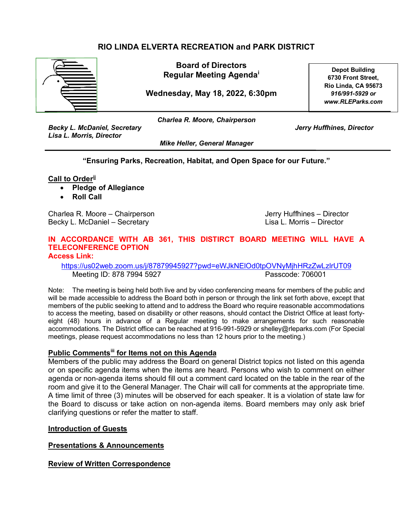# **RIO LINDA ELVERTA RECREATION and PARK DISTRICT**



**Board of Directors Regular Meeting Agenda[i](#page-2-0)**

**Wednesday, May 18, 2022, 6:30pm**

**Depot Building 6730 Front Street, Rio Linda, CA 95673** *916/991-5929 or www.RLEParks.com*

*Becky L. McDaniel, Secretary Jerry Huffhines, Director Lisa L. Morris, Director*

*Charlea R. Moore, Chairperson*

*Mike Heller, General Manager*

**"Ensuring Parks, Recreation, Habitat, and Open Space for our Future."**

**Call to Order[ii](#page-2-1)** 

- **Pledge of Allegiance**
- **Roll Call**

Charlea R. Moore – Chairperson Charles Theory Huffhines – Director Becky L. McDaniel – Secretary Lisa L. Morris – Director

# **IN ACCORDANCE WITH AB 361, THIS DISTIRCT BOARD MEETING WILL HAVE A TELECONFERENCE OPTION**

**Access Link:**

<https://us02web.zoom.us/j/87879945927?pwd=eWJkNElOd0tpOVNyMjhHRzZwLzlrUT09> Meeting ID: 878 7994 5927 Passcode: 706001

Note: The meeting is being held both live and by video conferencing means for members of the public and will be made accessible to address the Board both in person or through the link set forth above, except that members of the public seeking to attend and to address the Board who require reasonable accommodations to access the meeting, based on disability or other reasons, should contact the District Office at least fortyeight (48) hours in advance of a Regular meeting to make arrangements for such reasonable accommodations. The District office can be reached at 916-991-5929 or shelley@rleparks.com (For Special meetings, please request accommodations no less than 12 hours prior to the meeting.)

#### **Public Comments[iii](#page-2-2) for Items not on this Agenda**

Members of the public may address the Board on general District topics not listed on this agenda or on specific agenda items when the items are heard. Persons who wish to comment on either agenda or non-agenda items should fill out a comment card located on the table in the rear of the room and give it to the General Manager. The Chair will call for comments at the appropriate time. A time limit of three (3) minutes will be observed for each speaker. It is a violation of state law for the Board to discuss or take action on non-agenda items. Board members may only ask brief clarifying questions or refer the matter to staff.

#### **Introduction of Guests**

#### **Presentations & Announcements**

**Review of Written Correspondence**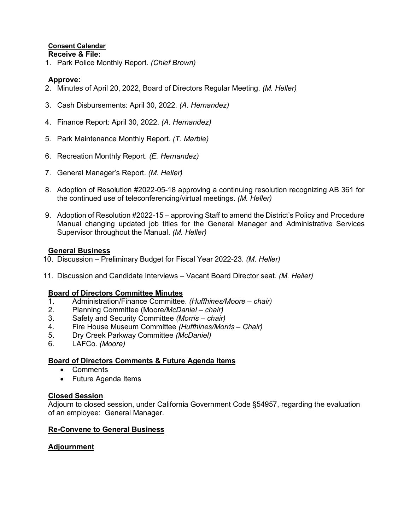# **Consent Calendar**

**Receive & File:** 1. Park Police Monthly Report. *(Chief Brown)*

## **Approve:**

- 2. Minutes of April 20, 2022, Board of Directors Regular Meeting. *(M. Heller)*
- 3. Cash Disbursements: April 30, 2022. *(A. Hernandez)*
- 4. Finance Report: April 30, 2022. *(A. Hernandez)*
- 5. Park Maintenance Monthly Report. *(T. Marble)*
- 6. Recreation Monthly Report. *(E. Hernandez)*
- 7. General Manager's Report. *(M. Heller)*
- 8. Adoption of Resolution #2022-05-18 approving a continuing resolution recognizing AB 361 for the continued use of teleconferencing/virtual meetings. *(M. Heller)*
- 9. Adoption of Resolution #2022-15 approving Staff to amend the District's Policy and Procedure Manual changing updated job titles for the General Manager and Administrative Services Supervisor throughout the Manual. *(M. Heller)*

## **General Business**

- 10. Discussion Preliminary Budget for Fiscal Year 2022-23. *(M. Heller)*
- 11. Discussion and Candidate Interviews Vacant Board Director seat. *(M. Heller)*

## **Board of Directors Committee Minutes**

- 1. Administration/Finance Committee. *(Huffhines/Moore chair)*
- 2. Planning Committee (Moore*/McDaniel chair)*
- 3. Safety and Security Committee *(Morris chair)*
- 4. Fire House Museum Committee *(Huffhines/Morris Chair)*
- 5. Dry Creek Parkway Committee *(McDaniel)*
- 6. LAFCo. *(Moore)*

## **Board of Directors Comments & Future Agenda Items**

- Comments
- Future Agenda Items

## **Closed Session**

Adjourn to closed session, under California Government Code §54957, regarding the evaluation of an employee: General Manager.

## **Re-Convene to General Business**

## **Adjournment**